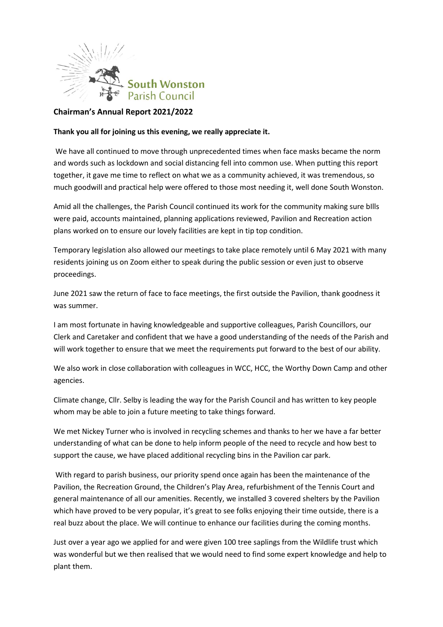

## **Chairman's Annual Report 2021/2022**

## **Thank you all for joining us this evening, we really appreciate it.**

We have all continued to move through unprecedented times when face masks became the norm and words such as lockdown and social distancing fell into common use. When putting this report together, it gave me time to reflect on what we as a community achieved, it was tremendous, so much goodwill and practical help were offered to those most needing it, well done South Wonston.

Amid all the challenges, the Parish Council continued its work for the community making sure bIlls were paid, accounts maintained, planning applications reviewed, Pavilion and Recreation action plans worked on to ensure our lovely facilities are kept in tip top condition.

Temporary legislation also allowed our meetings to take place remotely until 6 May 2021 with many residents joining us on Zoom either to speak during the public session or even just to observe proceedings.

June 2021 saw the return of face to face meetings, the first outside the Pavilion, thank goodness it was summer.

I am most fortunate in having knowledgeable and supportive colleagues, Parish Councillors, our Clerk and Caretaker and confident that we have a good understanding of the needs of the Parish and will work together to ensure that we meet the requirements put forward to the best of our ability.

We also work in close collaboration with colleagues in WCC, HCC, the Worthy Down Camp and other agencies.

Climate change, Cllr. Selby is leading the way for the Parish Council and has written to key people whom may be able to join a future meeting to take things forward.

We met Nickey Turner who is involved in recycling schemes and thanks to her we have a far better understanding of what can be done to help inform people of the need to recycle and how best to support the cause, we have placed additional recycling bins in the Pavilion car park.

With regard to parish business, our priority spend once again has been the maintenance of the Pavilion, the Recreation Ground, the Children's Play Area, refurbishment of the Tennis Court and general maintenance of all our amenities. Recently, we installed 3 covered shelters by the Pavilion which have proved to be very popular, it's great to see folks enjoying their time outside, there is a real buzz about the place. We will continue to enhance our facilities during the coming months.

Just over a year ago we applied for and were given 100 tree saplings from the Wildlife trust which was wonderful but we then realised that we would need to find some expert knowledge and help to plant them.